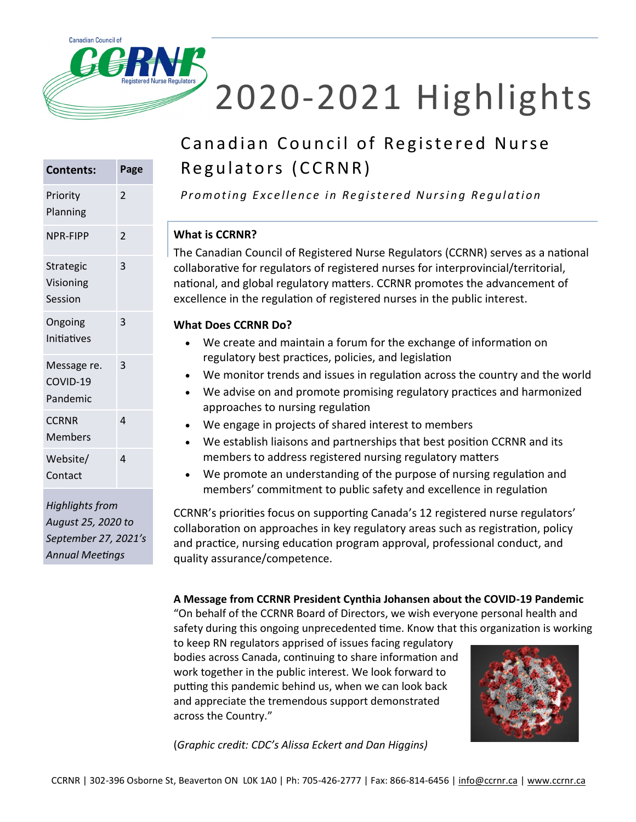

# 2020-2021 Highlights

### Canadian Council of Registered Nurse Regulators (CCRNR)

**Contents: Page** Priority Planning 2 NPR-FIPP 2 Strategic Visioning Session 3 Ongoing Initiatives 3 Message re. COVID-19 Pandemic 3 **CCRNR Members** 4 Website/ Contact 4

*Highlights from August 25, 2020 to September 27, 2021's Annual Meetings*

*Promoting Excellence in Registered Nursing Regulation* 

#### **What is CCRNR?**

The Canadian Council of Registered Nurse Regulators (CCRNR) serves as a national collaborative for regulators of registered nurses for interprovincial/territorial, national, and global regulatory matters. CCRNR promotes the advancement of excellence in the regulation of registered nurses in the public interest.

#### **What Does CCRNR Do?**

- We create and maintain a forum for the exchange of information on regulatory best practices, policies, and legislation
- We monitor trends and issues in regulation across the country and the world
- We advise on and promote promising regulatory practices and harmonized approaches to nursing regulation
- We engage in projects of shared interest to members
- We establish liaisons and partnerships that best position CCRNR and its members to address registered nursing regulatory matters
- We promote an understanding of the purpose of nursing regulation and members' commitment to public safety and excellence in regulation

CCRNR's priorities focus on supporting Canada's 12 registered nurse regulators' collaboration on approaches in key regulatory areas such as registration, policy and practice, nursing education program approval, professional conduct, and quality assurance/competence.

**A Message from CCRNR President Cynthia Johansen about the COVID-19 Pandemic** "On behalf of the CCRNR Board of Directors, we wish everyone personal health and safety during this ongoing unprecedented time. Know that this organization is working

to keep RN regulators apprised of issues facing regulatory bodies across Canada, continuing to share information and work together in the public interest. We look forward to putting this pandemic behind us, when we can look back and appreciate the tremendous support demonstrated across the Country."



(*Graphic credit: CDC's Alissa Eckert and Dan Higgins)*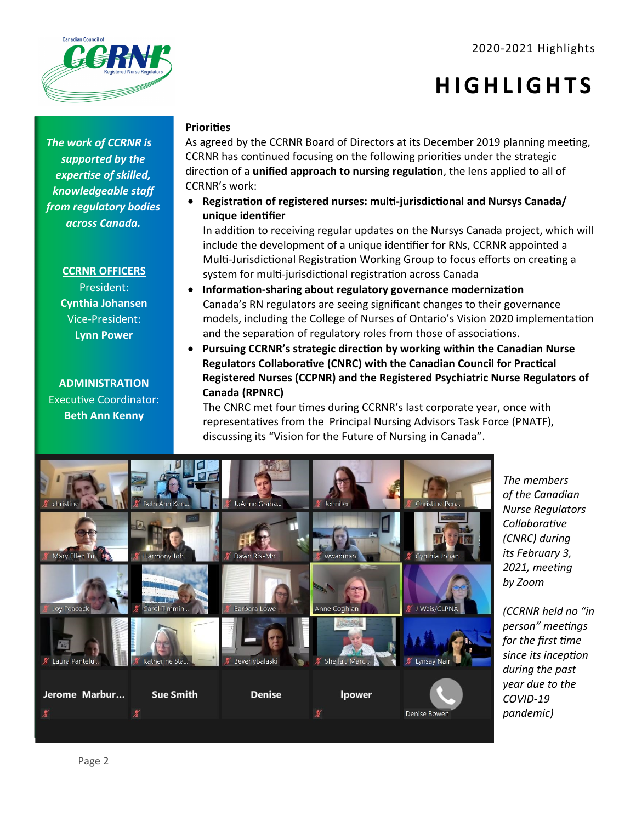#### 2020-2021 Highlights

**H I G H L I G H T S**



*The work of CCRNR is supported by the expertise of skilled, knowledgeable staff from regulatory bodies across Canada.* 

**CCRNR OFFICERS**

President: **Cynthia Johansen** Vice-President: **Lynn Power**

**ADMINISTRATION** Executive Coordinator: **Beth Ann Kenny**

#### **Priorities**

As agreed by the CCRNR Board of Directors at its December 2019 planning meeting, CCRNR has continued focusing on the following priorities under the strategic direction of a **unified approach to nursing regulation**, the lens applied to all of CCRNR's work:

• **Registration of registered nurses: multi-jurisdictional and Nursys Canada/ unique identifier**

In addition to receiving regular updates on the Nursys Canada project, which will include the development of a unique identifier for RNs, CCRNR appointed a Multi-Jurisdictional Registration Working Group to focus efforts on creating a system for multi-jurisdictional registration across Canada

- **Information-sharing about regulatory governance modernization** Canada's RN regulators are seeing significant changes to their governance models, including the College of Nurses of Ontario's Vision 2020 implementation and the separation of regulatory roles from those of associations.
- **Pursuing CCRNR's strategic direction by working within the Canadian Nurse Regulators Collaborative (CNRC) with the Canadian Council for Practical Registered Nurses (CCPNR) and the Registered Psychiatric Nurse Regulators of Canada (RPNRC)**

The CNRC met four times during CCRNR's last corporate year, once with representatives from the Principal Nursing Advisors Task Force (PNATF), discussing its "Vision for the Future of Nursing in Canada".



*The members of the Canadian Nurse Regulators Collaborative (CNRC) during its February 3, 2021, meeting by Zoom*

*(CCRNR held no "in person" meetings for the first time since its inception during the past year due to the COVID-19 pandemic)*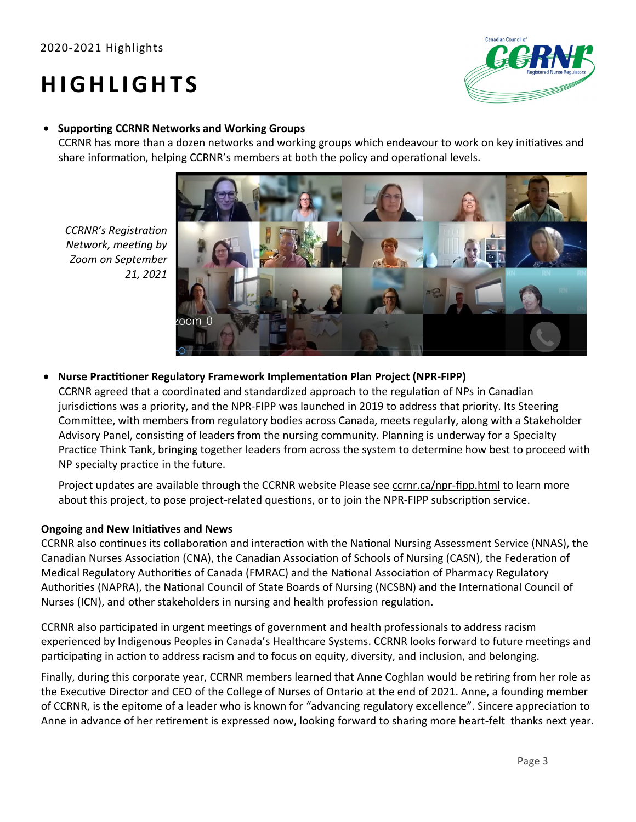## **H I G H L I G H T S**



#### • **Supporting CCRNR Networks and Working Groups**

CCRNR has more than a dozen networks and working groups which endeavour to work on key initiatives and share information, helping CCRNR's members at both the policy and operational levels.



*CCRNR's Registration Network, meeting by Zoom on September 21, 2021* 

• **Nurse Practitioner Regulatory Framework Implementation Plan Project (NPR-FIPP)**

CCRNR agreed that a coordinated and standardized approach to the regulation of NPs in Canadian jurisdictions was a priority, and the NPR-FIPP was launched in 2019 to address that priority. Its Steering Committee, with members from regulatory bodies across Canada, meets regularly, along with a Stakeholder Advisory Panel, consisting of leaders from the nursing community. Planning is underway for a Specialty Practice Think Tank, bringing together leaders from across the system to determine how best to proceed with NP specialty practice in the future.

Project updates are available through the CCRNR website Please see [ccrnr.ca/npr](http://ccrnr.ca/npr-fipp.html)-fipp.html to learn more about this project, to pose project-related questions, or to join the NPR-FIPP subscription service.

#### **Ongoing and New Initiatives and News**

CCRNR also continues its collaboration and interaction with the National Nursing Assessment Service (NNAS), the Canadian Nurses Association (CNA), the Canadian Association of Schools of Nursing (CASN), the Federation of Medical Regulatory Authorities of Canada (FMRAC) and the National Association of Pharmacy Regulatory Authorities (NAPRA), the National Council of State Boards of Nursing (NCSBN) and the International Council of Nurses (ICN), and other stakeholders in nursing and health profession regulation.

CCRNR also participated in urgent meetings of government and health professionals to address racism experienced by Indigenous Peoples in Canada's Healthcare Systems. CCRNR looks forward to future meetings and participating in action to address racism and to focus on equity, diversity, and inclusion, and belonging.

Finally, during this corporate year, CCRNR members learned that Anne Coghlan would be retiring from her role as the Executive Director and CEO of the College of Nurses of Ontario at the end of 2021. Anne, a founding member of CCRNR, is the epitome of a leader who is known for "advancing regulatory excellence". Sincere appreciation to Anne in advance of her retirement is expressed now, looking forward to sharing more heart-felt thanks next year.